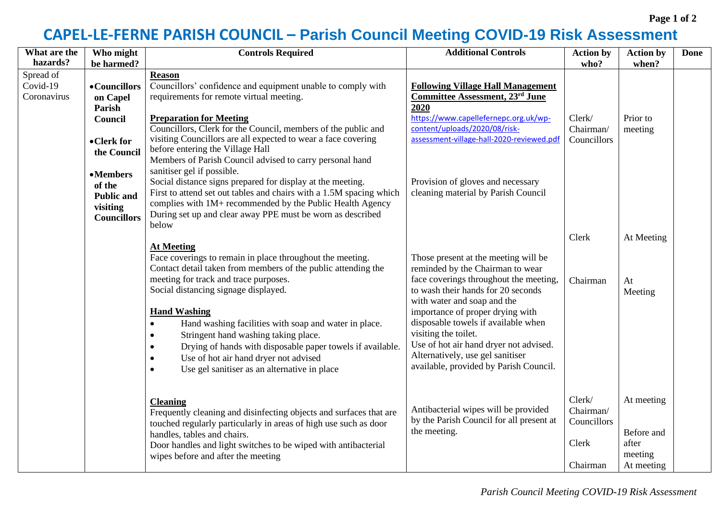## **CAPEL-LE-FERNE PARISH COUNCIL – Parish Council Meeting COVID-19 Risk Assessment**

| What are the                         | Who might                                                                    | <b>Controls Required</b>                                                                                                                                                                                                                                                                                                                                                                                                                                                                                                                                                         | <b>Additional Controls</b>                                                                                                                                                                                                                                                                                                                                                                                         | <b>Action by</b>                                        | <b>Action by</b>                                           | <b>Done</b> |
|--------------------------------------|------------------------------------------------------------------------------|----------------------------------------------------------------------------------------------------------------------------------------------------------------------------------------------------------------------------------------------------------------------------------------------------------------------------------------------------------------------------------------------------------------------------------------------------------------------------------------------------------------------------------------------------------------------------------|--------------------------------------------------------------------------------------------------------------------------------------------------------------------------------------------------------------------------------------------------------------------------------------------------------------------------------------------------------------------------------------------------------------------|---------------------------------------------------------|------------------------------------------------------------|-------------|
| hazards?                             | be harmed?                                                                   |                                                                                                                                                                                                                                                                                                                                                                                                                                                                                                                                                                                  |                                                                                                                                                                                                                                                                                                                                                                                                                    | who?                                                    | when?                                                      |             |
| Spread of<br>Covid-19<br>Coronavirus | • Councillors<br>on Capel<br>Parish<br>Council<br>• Clerk for<br>the Council | <b>Reason</b><br>Councillors' confidence and equipment unable to comply with<br>requirements for remote virtual meeting.<br><b>Preparation for Meeting</b><br>Councillors, Clerk for the Council, members of the public and<br>visiting Councillors are all expected to wear a face covering<br>before entering the Village Hall<br>Members of Parish Council advised to carry personal hand<br>sanitiser gel if possible.                                                                                                                                                       | <b>Following Village Hall Management</b><br><b>Committee Assessment, 23rd June</b><br>2020<br>https://www.capellefernepc.org.uk/wp-<br>content/uploads/2020/08/risk-<br>assessment-village-hall-2020-reviewed.pdf                                                                                                                                                                                                  | Clerk/<br>Chairman/<br>Councillors                      | Prior to<br>meeting                                        |             |
|                                      | •Members<br>of the<br><b>Public and</b><br>visiting<br><b>Councillors</b>    | Social distance signs prepared for display at the meeting.<br>First to attend set out tables and chairs with a 1.5M spacing which<br>complies with 1M+ recommended by the Public Health Agency<br>During set up and clear away PPE must be worn as described<br>below                                                                                                                                                                                                                                                                                                            | Provision of gloves and necessary<br>cleaning material by Parish Council                                                                                                                                                                                                                                                                                                                                           |                                                         |                                                            |             |
|                                      |                                                                              |                                                                                                                                                                                                                                                                                                                                                                                                                                                                                                                                                                                  |                                                                                                                                                                                                                                                                                                                                                                                                                    | Clerk                                                   | At Meeting                                                 |             |
|                                      |                                                                              | <b>At Meeting</b><br>Face coverings to remain in place throughout the meeting.<br>Contact detail taken from members of the public attending the<br>meeting for track and trace purposes.<br>Social distancing signage displayed.<br><b>Hand Washing</b><br>Hand washing facilities with soap and water in place.<br>$\bullet$<br>Stringent hand washing taking place.<br>$\bullet$<br>Drying of hands with disposable paper towels if available.<br>$\bullet$<br>Use of hot air hand dryer not advised<br>$\bullet$<br>Use gel sanitiser as an alternative in place<br>$\bullet$ | Those present at the meeting will be<br>reminded by the Chairman to wear<br>face coverings throughout the meeting,<br>to wash their hands for 20 seconds<br>with water and soap and the<br>importance of proper drying with<br>disposable towels if available when<br>visiting the toilet.<br>Use of hot air hand dryer not advised.<br>Alternatively, use gel sanitiser<br>available, provided by Parish Council. | Chairman                                                | At<br>Meeting                                              |             |
|                                      |                                                                              | <b>Cleaning</b><br>Frequently cleaning and disinfecting objects and surfaces that are<br>touched regularly particularly in areas of high use such as door<br>handles, tables and chairs.<br>Door handles and light switches to be wiped with antibacterial<br>wipes before and after the meeting                                                                                                                                                                                                                                                                                 | Antibacterial wipes will be provided<br>by the Parish Council for all present at<br>the meeting.                                                                                                                                                                                                                                                                                                                   | Clerk/<br>Chairman/<br>Councillors<br>Clerk<br>Chairman | At meeting<br>Before and<br>after<br>meeting<br>At meeting |             |